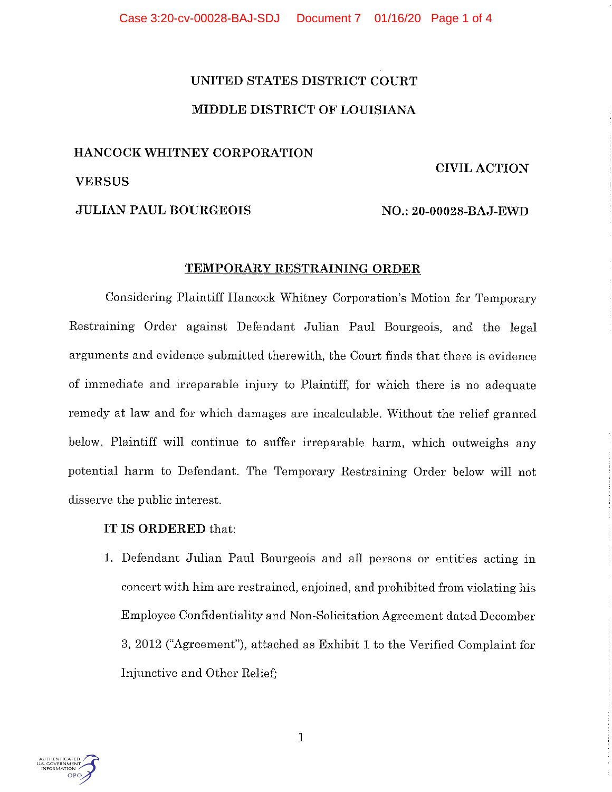# UNITED STATES DISTRICT COURT MIDDLE DISTRICT OF LOUISIANA

## HANCOCKWHITNEY CORPORATION

### CIVIL ACTION

VERSUS

JULIAN PAUL BOURGEOIS NO.: 20-00028-BAJ-EWD

### TEMPORARY RESTRAINING ORDER

Considering Plaintiff Hancock Whitney Corporation's Motion for Temporary Restraining Order against Defendant Julian Paul Bourgeois, and the legal arguments and evidence submitted therewith, the Court finds that there is evidence of immediate and irreparable injury to Plaintiff, for which there is no adequate remedy at law and for which damages are incalculable. Without the relief granted below, Plaintiff will continue to suffer irreparable harm, which outweighs any potential harm to Defendant. The Temporary Restraining Order below will not disserve the public interest.

## IT IS ORDERED that:

1. Defendant Julian Paul Bourgeois and all persons or entities acting in concert with him are restrained, enjoined, and prohibited from violating his Employee Confidentiality and Non-Solicitation Agreement dated December 3, 2012 ("Agreement"), attached as Exhibit 1 to the Verified Complaint for Injunctive and Other Relief;

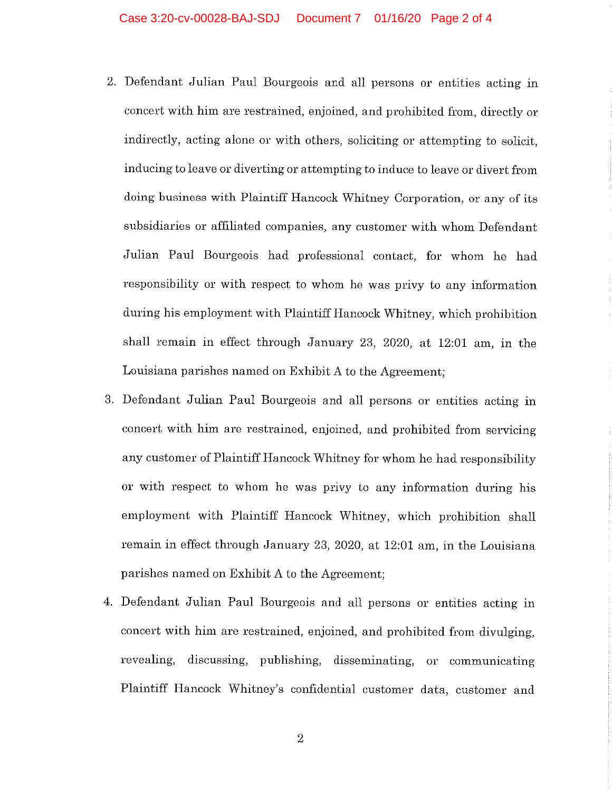- 2. Defendant Julian Paul Bourgeois and all persons or entities acting in concert with him are restrained, enjoined, and prohibited from, directly or indirectly, acting alone or with others, soliciting or attempting to solicit, inducing to leave or diverting or attempting to induce to leave or divert from doing business with Plaintiff Hancock Whitney Corporation, or any of its subsidiaries or affiliated companies, any customer with whom Defendant Julian Paul Bourgeois had professional contact, for whom he had responsibility or with respect to whom he was privy to any information during his employment with Plaintiff Hancock Whitney, which prohibition shall remain in effect through January 23, 2020, at 12:01 am, in the Louisiana parishes named on Exhibit A to the Agreement;
- 3. Defendant Julian Paul Bourgeois and all persons or entities acting in concert with him are restrained, enjoined, and prohibited from servicing any customer of Plaintiff Hancock Whitney for whom he had responsibility or with respect to whom he was privy to any information during his employment with Plaintiff Hancock Whitney, which prohibition shall remain in effect through January 23, 2020, at 12:01 am, in the Louisiana parishes named on Exhibit A to the Agreement;
- 4. Defendant Julian Paul Bourgeois and all persons or entities acting in concert with him are restrained, enjoined, and prohibited from divulging, revealing) discussing, publishing, disseminating, or communicating Plaintiff Hancock Whitney's confidential customer data, customer and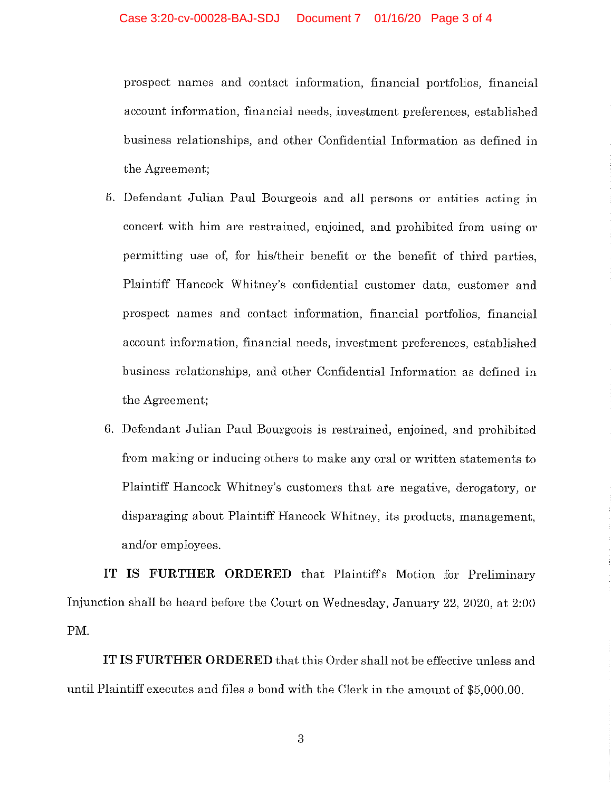prospect names and contact information, financial portfolios, financial account information, financial needs, investment preferences, established business relationships, and other Confidential Information as defined in the Agreement;

- 5. Defendant Julian Paul Bourgeois and all persons or entities acting in concert with him are restrained, enjoined, and prohibited from using or permitting use of, for his/their benefit or the benefit of third parties, Plaintiff Hancock Whitney's confidential customer data, customer and prospect names and contact information, financial portfolios, financial account information, financial needs, investment preferences, established business relationships, and other Confidential Information as defined in the Agreement;
- 6. Defendant Julian Paul Bourgeois is restrained, enjoined, and prohibited from making or inducing others to make any oral or written statements to Plaintiff Hancock Whitney's customers that are negative, derogatory, or disparaging about Plaintiff Hancock Whitney, its products, management, and/or employees.

IT IS FURTHER ORDERED that Plaintiffs Motion for Preliminary Injunction shall be heard before the Court on Wednesday, January 22, 2020, at 2:00 PM.

IT IS FURTHER ORDERED that this Order shall not be effective unless and until Plaintiff executes and files a bond with the Clerk in the amount of \$5,000.00.

3